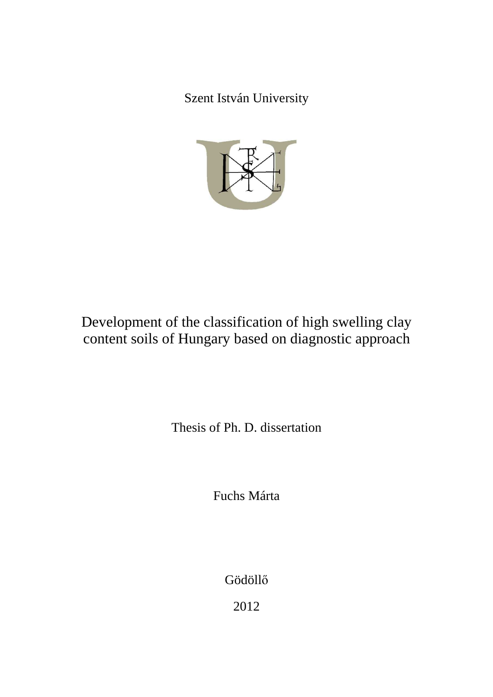Szent István University



Development of the classification of high swelling clay content soils of Hungary based on diagnostic approach

Thesis of Ph. D. dissertation

Fuchs Márta

Gödöllő

2012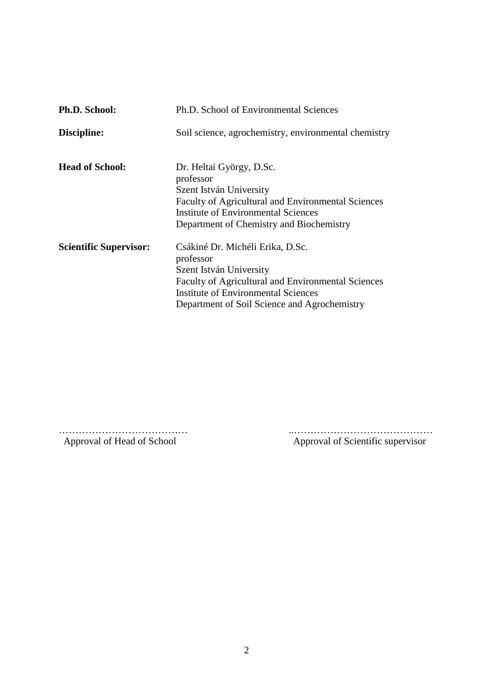| <b>Ph.D. School:</b>          | Ph.D. School of Environmental Sciences                                                                                                                                                                                              |
|-------------------------------|-------------------------------------------------------------------------------------------------------------------------------------------------------------------------------------------------------------------------------------|
| Discipline:                   | Soil science, agrochemistry, environmental chemistry                                                                                                                                                                                |
| <b>Head of School:</b>        | Dr. Heltai György, D.Sc.<br>professor<br>Szent István University<br><b>Faculty of Agricultural and Environmental Sciences</b><br>Institute of Environmental Sciences<br>Department of Chemistry and Biochemistry                    |
| <b>Scientific Supervisor:</b> | Csákiné Dr. Michéli Erika, D.Sc.<br>professor<br>Szent István University<br><b>Faculty of Agricultural and Environmental Sciences</b><br><b>Institute of Environmental Sciences</b><br>Department of Soil Science and Agrochemistry |

………………………………… ..……………………………………

Approval of Scientific supervisor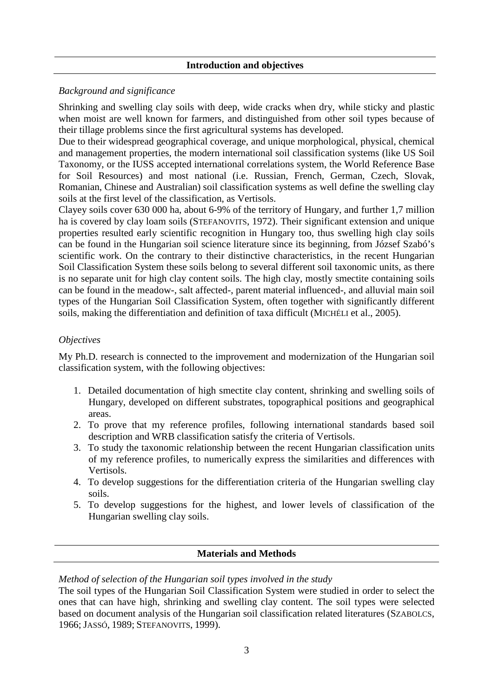# **Introduction and objectives**

# *Background and significance*

Shrinking and swelling clay soils with deep, wide cracks when dry, while sticky and plastic when moist are well known for farmers, and distinguished from other soil types because of their tillage problems since the first agricultural systems has developed.

Due to their widespread geographical coverage, and unique morphological, physical, chemical and management properties, the modern international soil classification systems (like US Soil Taxonomy, or the IUSS accepted international correlations system, the World Reference Base for Soil Resources) and most national (i.e. Russian, French, German, Czech, Slovak, Romanian, Chinese and Australian) soil classification systems as well define the swelling clay soils at the first level of the classification, as Vertisols.

Clayey soils cover 630 000 ha, about 6-9% of the territory of Hungary, and further 1,7 million ha is covered by clay loam soils (STEFANOVITS, 1972). Their significant extension and unique properties resulted early scientific recognition in Hungary too, thus swelling high clay soils can be found in the Hungarian soil science literature since its beginning, from József Szabó's scientific work. On the contrary to their distinctive characteristics, in the recent Hungarian Soil Classification System these soils belong to several different soil taxonomic units, as there is no separate unit for high clay content soils. The high clay, mostly smectite containing soils can be found in the meadow-, salt affected-, parent material influenced-, and alluvial main soil types of the Hungarian Soil Classification System, often together with significantly different soils, making the differentiation and definition of taxa difficult (MICHÉLI et al., 2005).

# *Objectives*

My Ph.D. research is connected to the improvement and modernization of the Hungarian soil classification system, with the following objectives:

- 1. Detailed documentation of high smectite clay content, shrinking and swelling soils of Hungary, developed on different substrates, topographical positions and geographical areas.
- 2. To prove that my reference profiles, following international standards based soil description and WRB classification satisfy the criteria of Vertisols.
- 3. To study the taxonomic relationship between the recent Hungarian classification units of my reference profiles, to numerically express the similarities and differences with Vertisols.
- 4. To develop suggestions for the differentiation criteria of the Hungarian swelling clay soils.
- 5. To develop suggestions for the highest, and lower levels of classification of the Hungarian swelling clay soils.

# **Materials and Methods**

*Method of selection of the Hungarian soil types involved in the study* 

The soil types of the Hungarian Soil Classification System were studied in order to select the ones that can have high, shrinking and swelling clay content. The soil types were selected based on document analysis of the Hungarian soil classification related literatures (SZABOLCS, 1966; JASSÓ, 1989; STEFANOVITS, 1999).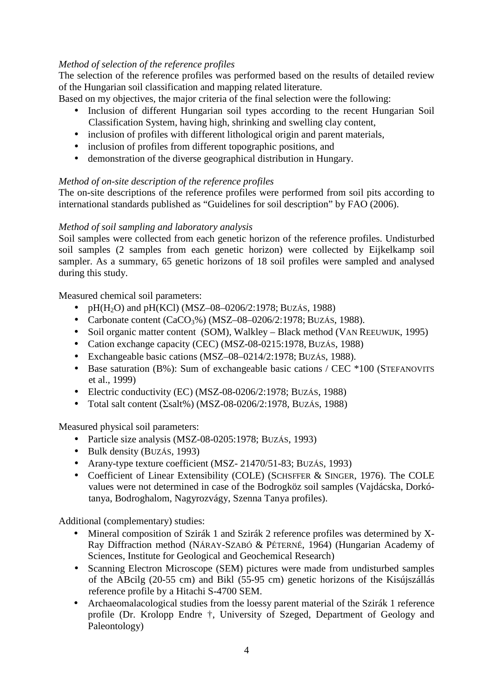# *Method of selection of the reference profiles*

The selection of the reference profiles was performed based on the results of detailed review of the Hungarian soil classification and mapping related literature.

Based on my objectives, the major criteria of the final selection were the following:

- Inclusion of different Hungarian soil types according to the recent Hungarian Soil Classification System, having high, shrinking and swelling clay content,
- inclusion of profiles with different lithological origin and parent materials,
- inclusion of profiles from different topographic positions, and
- demonstration of the diverse geographical distribution in Hungary.

# *Method of on-site description of the reference profiles*

The on-site descriptions of the reference profiles were performed from soil pits according to international standards published as "Guidelines for soil description" by FAO (2006).

# *Method of soil sampling and laboratory analysis*

Soil samples were collected from each genetic horizon of the reference profiles. Undisturbed soil samples (2 samples from each genetic horizon) were collected by Eijkelkamp soil sampler. As a summary, 65 genetic horizons of 18 soil profiles were sampled and analysed during this study.

Measured chemical soil parameters:

- pH(H<sub>2</sub>O) and pH(KCl) (MSZ–08–0206/2:1978; BUZÁS, 1988)
- Carbonate content  $(CaCO<sub>3</sub>%)$  (MSZ-08-0206/2:1978; BUZÁS, 1988).
- Soil organic matter content (SOM), Walkley Black method (VAN REEUWIJK, 1995)
- Cation exchange capacity (CEC) (MSZ-08-0215:1978, BUZÁS, 1988)
- Exchangeable basic cations (MSZ–08–0214/2:1978; BUZÁS, 1988).
- Base saturation (B%): Sum of exchangeable basic cations / CEC \*100 (STEFANOVITS et al., 1999)
- Electric conductivity (EC) (MSZ-08-0206/2:1978; BUZÁS, 1988)
- Total salt content  $(2salt\%)$  (MSZ-08-0206/2:1978, BUZÁS, 1988)

Measured physical soil parameters:

- Particle size analysis (MSZ-08-0205:1978; BUZÁS, 1993)
- Bulk density (BUZÁS, 1993)
- Arany-type texture coefficient (MSZ-21470/51-83; BUZÁS, 1993)
- Coefficient of Linear Extensibility (COLE) (SCHSFFER & SINGER, 1976). The COLE values were not determined in case of the Bodrogköz soil samples (Vajdácska, Dorkótanya, Bodroghalom, Nagyrozvágy, Szenna Tanya profiles).

Additional (complementary) studies:

- Mineral composition of Szirák 1 and Szirák 2 reference profiles was determined by X-Ray Diffraction method (NÁRAY-SZABÓ & PÉTERNÉ, 1964) (Hungarian Academy of Sciences, Institute for Geological and Geochemical Research)
- Scanning Electron Microscope (SEM) pictures were made from undisturbed samples of the ABcilg (20-55 cm) and Bikl (55-95 cm) genetic horizons of the Kisújszállás reference profile by a Hitachi S-4700 SEM.
- Archaeomalacological studies from the loessy parent material of the Szirák 1 reference profile (Dr. Krolopp Endre †, University of Szeged, Department of Geology and Paleontology)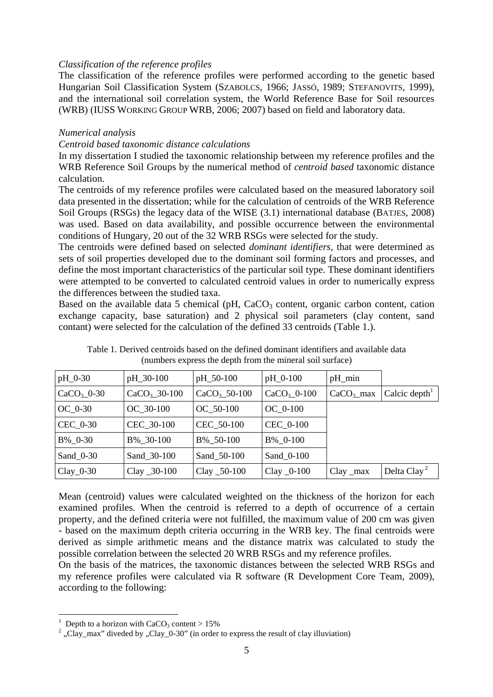#### *Classification of the reference profiles*

The classification of the reference profiles were performed according to the genetic based Hungarian Soil Classification System (SZABOLCS, 1966; JASSÓ, 1989; STEFANOVITS, 1999), and the international soil correlation system, the World Reference Base for Soil resources (WRB) (IUSS WORKING GROUP WRB, 2006; 2007) based on field and laboratory data.

## *Numerical analysis*

## *Centroid based taxonomic distance calculations*

In my dissertation I studied the taxonomic relationship between my reference profiles and the WRB Reference Soil Groups by the numerical method of *centroid based* taxonomic distance calculation.

The centroids of my reference profiles were calculated based on the measured laboratory soil data presented in the dissertation; while for the calculation of centroids of the WRB Reference Soil Groups (RSGs) the legacy data of the WISE (3.1) international database (BATJES, 2008) was used. Based on data availability, and possible occurrence between the environmental conditions of Hungary, 20 out of the 32 WRB RSGs were selected for the study.

The centroids were defined based on selected *dominant identifiers,* that were determined as sets of soil properties developed due to the dominant soil forming factors and processes, and define the most important characteristics of the particular soil type. These dominant identifiers were attempted to be converted to calculated centroid values in order to numerically express the differences between the studied taxa.

Based on the available data 5 chemical (pH,  $CaCO<sub>3</sub>$  content, organic carbon content, cation exchange capacity, base saturation) and 2 physical soil parameters (clay content, sand contant) were selected for the calculation of the defined 33 centroids (Table 1.).

| pH_0-30       | pH_30-100       | pH_50-100       | $pH_0-100$     | $pH_{min}$  |                           |
|---------------|-----------------|-----------------|----------------|-------------|---------------------------|
| $CaCO3$ _0-30 | $CaCO3$ 30-100  | $CaCO3$ 50-100  | $CaCO3$ -0-100 | $CaCO3$ max | Calcic depth <sup>1</sup> |
| $OC_0-30$     | OC 30-100       | OC 50-100       | $OC_0-100$     |             |                           |
| $CEC_0-30$    | CEC 30-100      | CEC 50-100      | CEC_0-100      |             |                           |
| $B\%$ 0-30    | B% 30-100       | B% 50-100       | B% 0-100       |             |                           |
| Sand $0-30$   | Sand 30-100     | Sand 50-100     | Sand_0-100     |             |                           |
| $Clay_0-30$   | Clay $\_30-100$ | Clay $\_50-100$ | Clay $_0$ -100 | $Clay$ _max | Delta Clay <sup>2</sup>   |

Table 1. Derived centroids based on the defined dominant identifiers and available data (numbers express the depth from the mineral soil surface)

Mean (centroid) values were calculated weighted on the thickness of the horizon for each examined profiles. When the centroid is referred to a depth of occurrence of a certain property, and the defined criteria were not fulfilled, the maximum value of 200 cm was given - based on the maximum depth criteria occurring in the WRB key. The final centroids were derived as simple arithmetic means and the distance matrix was calculated to study the possible correlation between the selected 20 WRB RSGs and my reference profiles.

On the basis of the matrices, the taxonomic distances between the selected WRB RSGs and my reference profiles were calculated via R software (R Development Core Team, 2009), according to the following:

 $\overline{a}$ 

<sup>1</sup> Depth to a horizon with  $CaCO<sub>3</sub>$  content  $> 15\%$ 

<sup>&</sup>lt;sup>2</sup>, Clay\_max" diveded by , Clay\_0-30" (in order to express the result of clay illuviation)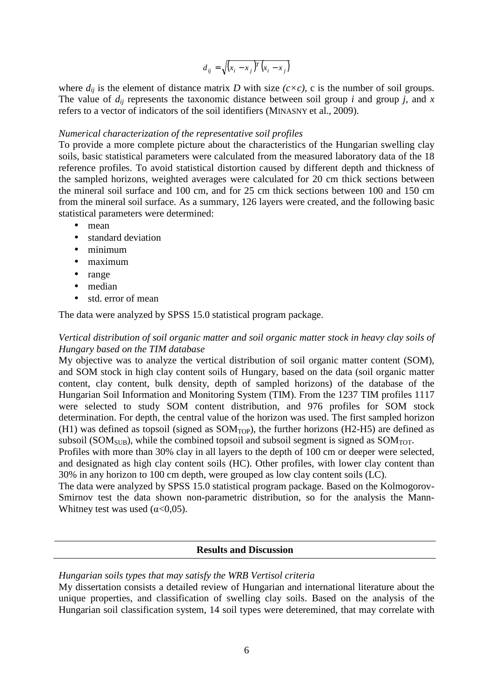$$
d_{ij} = \sqrt{(x_i - x_j)^T (x_i - x_j)}
$$

where  $d_{ij}$  is the element of distance matrix *D* with size  $(c \times c)$ , c is the number of soil groups. The value of  $d_{ij}$  represents the taxonomic distance between soil group *i* and group *j*, and *x* refers to a vector of indicators of the soil identifiers (MINASNY et al., 2009).

# *Numerical characterization of the representative soil profiles*

To provide a more complete picture about the characteristics of the Hungarian swelling clay soils, basic statistical parameters were calculated from the measured laboratory data of the 18 reference profiles. To avoid statistical distortion caused by different depth and thickness of the sampled horizons, weighted averages were calculated for 20 cm thick sections between the mineral soil surface and 100 cm, and for 25 cm thick sections between 100 and 150 cm from the mineral soil surface. As a summary, 126 layers were created, and the following basic statistical parameters were determined:

- mean
- standard deviation
- minimum
- maximum
- range
- median
- std. error of mean

The data were analyzed by SPSS 15.0 statistical program package.

# *Vertical distribution of soil organic matter and soil organic matter stock in heavy clay soils of Hungary based on the TIM database*

My objective was to analyze the vertical distribution of soil organic matter content (SOM), and SOM stock in high clay content soils of Hungary, based on the data (soil organic matter content, clay content, bulk density, depth of sampled horizons) of the database of the Hungarian Soil Information and Monitoring System (TIM). From the 1237 TIM profiles 1117 were selected to study SOM content distribution, and 976 profiles for SOM stock determination. For depth, the central value of the horizon was used. The first sampled horizon  $(H1)$  was defined as topsoil (signed as  $SOM<sub>TOP</sub>$ ), the further horizons (H2-H5) are defined as subsoil ( $SOM<sub>SUB</sub>$ ), while the combined topsoil and subsoil segment is signed as  $SOM<sub>TOT</sub>$ .

Profiles with more than 30% clay in all layers to the depth of 100 cm or deeper were selected, and designated as high clay content soils (HC). Other profiles, with lower clay content than 30% in any horizon to 100 cm depth, were grouped as low clay content soils (LC).

The data were analyzed by SPSS 15.0 statistical program package. Based on the Kolmogorov-Smirnov test the data shown non-parametric distribution, so for the analysis the Mann-Whitney test was used  $(\alpha < 0.05)$ .

# **Results and Discussion**

# *Hungarian soils types that may satisfy the WRB Vertisol criteria*

My dissertation consists a detailed review of Hungarian and international literature about the unique properties, and classification of swelling clay soils. Based on the analysis of the Hungarian soil classification system, 14 soil types were deteremined, that may correlate with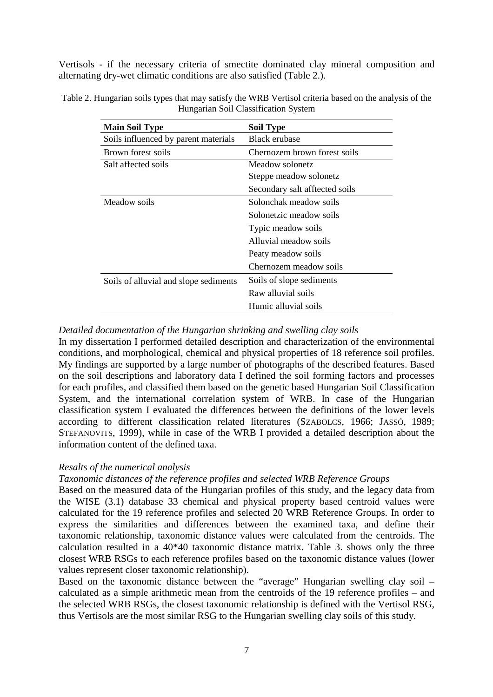Vertisols - if the necessary criteria of smectite dominated clay mineral composition and alternating dry-wet climatic conditions are also satisfied (Table 2.).

| <b>Main Soil Type</b>                 | <b>Soil Type</b>               |
|---------------------------------------|--------------------------------|
| Soils influenced by parent materials  | <b>Black erubase</b>           |
| Brown forest soils                    | Chernozem brown forest soils   |
| Salt affected soils                   | Meadow solonetz                |
|                                       | Steppe meadow solonetz         |
|                                       | Secondary salt afftected soils |
| Meadow soils                          | Solonchak meadow soils         |
|                                       | Solonetzic meadow soils        |
|                                       | Typic meadow soils             |
|                                       | Alluvial meadow soils          |
|                                       | Peaty meadow soils             |
|                                       | Chernozem meadow soils         |
| Soils of alluvial and slope sediments | Soils of slope sediments       |
|                                       | Raw alluvial soils             |
|                                       | Humic alluvial soils           |

Table 2. Hungarian soils types that may satisfy the WRB Vertisol criteria based on the analysis of the Hungarian Soil Classification System

## *Detailed documentation of the Hungarian shrinking and swelling clay soils*

In my dissertation I performed detailed description and characterization of the environmental conditions, and morphological, chemical and physical properties of 18 reference soil profiles. My findings are supported by a large number of photographs of the described features. Based on the soil descriptions and laboratory data I defined the soil forming factors and processes for each profiles, and classified them based on the genetic based Hungarian Soil Classification System, and the international correlation system of WRB. In case of the Hungarian classification system I evaluated the differences between the definitions of the lower levels according to different classification related literatures (SZABOLCS, 1966; JASSÓ, 1989; STEFANOVITS, 1999), while in case of the WRB I provided a detailed description about the information content of the defined taxa.

# *Resalts of the numerical analysis*

*Taxonomic distances of the reference profiles and selected WRB Reference Groups* 

Based on the measured data of the Hungarian profiles of this study, and the legacy data from the WISE (3.1) database 33 chemical and physical property based centroid values were calculated for the 19 reference profiles and selected 20 WRB Reference Groups. In order to express the similarities and differences between the examined taxa, and define their taxonomic relationship, taxonomic distance values were calculated from the centroids. The calculation resulted in a 40\*40 taxonomic distance matrix. Table 3. shows only the three closest WRB RSGs to each reference profiles based on the taxonomic distance values (lower values represent closer taxonomic relationship).

Based on the taxonomic distance between the "average" Hungarian swelling clay soil – calculated as a simple arithmetic mean from the centroids of the 19 reference profiles – and the selected WRB RSGs, the closest taxonomic relationship is defined with the Vertisol RSG, thus Vertisols are the most similar RSG to the Hungarian swelling clay soils of this study.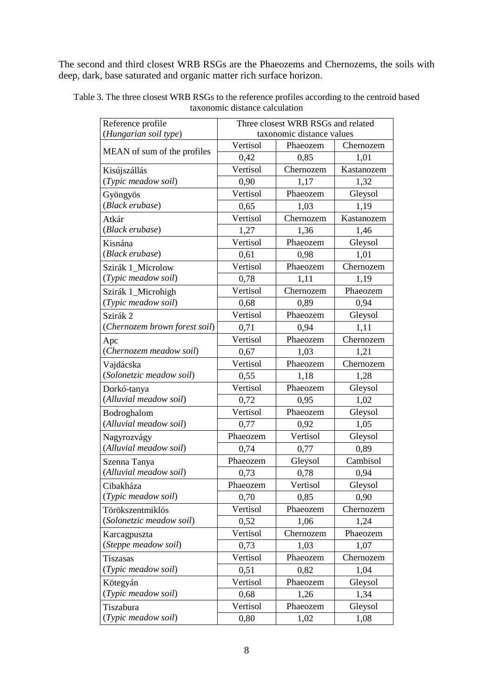The second and third closest WRB RSGs are the Phaeozems and Chernozems, the soils with deep, dark, base saturated and organic matter rich surface horizon.

| Reference profile             | Three closest WRB RSGs and related |           |            |  |  |  |
|-------------------------------|------------------------------------|-----------|------------|--|--|--|
| (Hungarian soil type)         | taxonomic distance values          |           |            |  |  |  |
| MEAN of sum of the profiles   | Vertisol                           | Phaeozem  | Chernozem  |  |  |  |
|                               | 0,42                               | 0,85      | 1,01       |  |  |  |
| Kisújszállás                  | Vertisol                           | Chernozem | Kastanozem |  |  |  |
| (Typic meadow soil)           | 0,90                               | 1,17      | 1,32       |  |  |  |
| Gyöngyös                      | Vertisol                           | Phaeozem  | Gleysol    |  |  |  |
| (Black erubase)               | 0,65                               | 1,03      | 1,19       |  |  |  |
| Atkár                         | Vertisol                           | Chernozem | Kastanozem |  |  |  |
| (Black erubase)               | 1,27                               | 1,36      | 1,46       |  |  |  |
| Kisnána                       | Vertisol                           | Phaeozem  | Gleysol    |  |  |  |
| (Black erubase)               | 0,61                               | 0,98      | 1,01       |  |  |  |
| Szirák 1_Microlow             | Vertisol                           | Phaeozem  | Chernozem  |  |  |  |
| (Typic meadow soil)           | 0,78                               | 1,11      | 1,19       |  |  |  |
| Szirák 1_Microhigh            | Vertisol                           | Chernozem | Phaeozem   |  |  |  |
| (Typic meadow soil)           | 0,68                               | 0,89      | 0,94       |  |  |  |
| Szirák 2                      | Vertisol                           | Phaeozem  | Gleysol    |  |  |  |
| (Chernozem brown forest soil) | 0,71                               | 0,94      | 1,11       |  |  |  |
| Apc                           | Vertisol                           | Phaeozem  | Chernozem  |  |  |  |
| (Chernozem meadow soil)       | 0,67                               | 1,03      | 1,21       |  |  |  |
| Vajdácska                     | Vertisol                           | Phaeozem  | Chernozem  |  |  |  |
| (Solonetzic meadow soil)      | 0,55                               | 1,18      | 1,28       |  |  |  |
| Dorkó-tanya                   | Vertisol                           | Phaeozem  | Gleysol    |  |  |  |
| (Alluvial meadow soil)        | 0,72                               | 0,95      | 1,02       |  |  |  |
| Bodroghalom                   | Vertisol                           | Phaeozem  | Gleysol    |  |  |  |
| (Alluvial meadow soil)        | 0,77                               | 0,92      | 1,05       |  |  |  |
| Nagyrozvágy                   | Phaeozem                           | Vertisol  | Gleysol    |  |  |  |
| (Alluvial meadow soil)        | 0,74                               | 0,77      | 0,89       |  |  |  |
| Szenna Tanya                  | Phaeozem                           | Gleysol   | Cambisol   |  |  |  |
| (Alluvial meadow soil)        | 0,73                               | 0,78      | 0,94       |  |  |  |
| Cibakháza                     | Phaeozem                           | Vertisol  | Gleysol    |  |  |  |
| (Typic meadow soil)           | 0,70                               | 0,85      | 0,90       |  |  |  |
| Törökszentmiklós              | Vertisol                           | Phaeozem  | Chernozem  |  |  |  |
| (Solonetzic meadow soil)      | 0,52                               | 1,06      | 1,24       |  |  |  |
| Karcagpuszta                  | Vertisol                           | Chernozem | Phaeozem   |  |  |  |
| (Steppe meadow soil)          | 0,73                               | 1,03      | 1,07       |  |  |  |
| <b>Tiszasas</b>               | Vertisol                           | Phaeozem  | Chernozem  |  |  |  |
| (Typic meadow soil)           | 0,51                               | 0,82      | 1,04       |  |  |  |
| Kötegyán                      | Vertisol                           | Phaeozem  | Gleysol    |  |  |  |
| (Typic meadow soil)           | 0,68                               | 1,26      | 1,34       |  |  |  |
| Tiszabura                     | Vertisol                           | Phaeozem  | Gleysol    |  |  |  |
| (Typic meadow soil)           | 0,80                               | 1,02      | 1,08       |  |  |  |

Table 3. The three closest WRB RSGs to the reference profiles according to the centroid based taxonomic distance calculation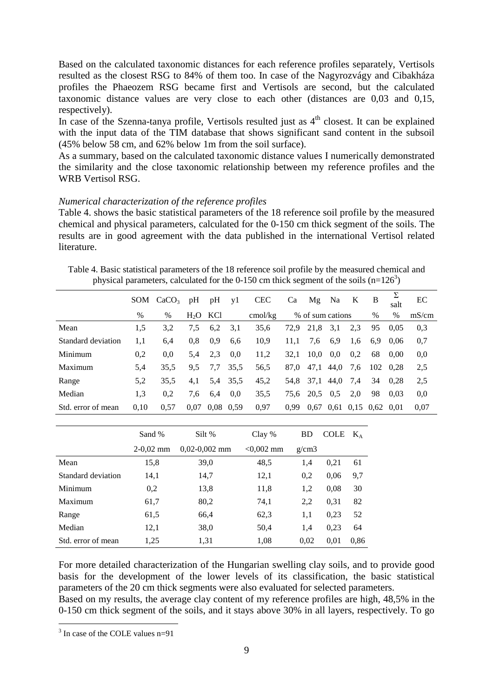Based on the calculated taxonomic distances for each reference profiles separately, Vertisols resulted as the closest RSG to 84% of them too. In case of the Nagyrozvágy and Cibakháza profiles the Phaeozem RSG became first and Vertisols are second, but the calculated taxonomic distance values are very close to each other (distances are 0,03 and 0,15, respectively).

In case of the Szenna-tanya profile, Vertisols resulted just as  $4<sup>th</sup>$  closest. It can be explained with the input data of the TIM database that shows significant sand content in the subsoil (45% below 58 cm, and 62% below 1m from the soil surface).

As a summary, based on the calculated taxonomic distance values I numerically demonstrated the similarity and the close taxonomic relationship between my reference profiles and the WRB Vertisol RSG.

# *Numerical characterization of the reference profiles*

Table 4. shows the basic statistical parameters of the 18 reference soil profile by the measured chemical and physical parameters, calculated for the 0-150 cm thick segment of the soils. The results are in good agreement with the data published in the international Vertisol related **literature** 

Table 4. Basic statistical parameters of the 18 reference soil profile by the measured chemical and physical parameters, calculated for the 0-150 cm thick segment of the soils  $(n=126^3)$ 

|                    | SOM  | CaCO <sub>3</sub> | pH        | pH          | yl   | <b>CEC</b>       | Ca   | Mg               | Na   | K   | B                           | Σ<br>salt | EC    |
|--------------------|------|-------------------|-----------|-------------|------|------------------|------|------------------|------|-----|-----------------------------|-----------|-------|
|                    | $\%$ | $\%$              | $H2O$ KCl |             |      | $\text{cmol/kg}$ |      | % of sum cations |      |     | $\%$                        | %         | mS/cm |
| Mean               | 1.5  | 3,2               | 7.5       | 6,2         | 3,1  | 35,6             | 72.9 | 21,8             | 3,1  | 2.3 | 95                          | 0.05      | 0,3   |
| Standard deviation | 1,1  | 6,4               | 0.8       | 0.9         | 6.6  | 10,9             | 11,1 | 7,6              | 6,9  | 1,6 | 6,9                         | 0.06      | 0.7   |
| Minimum            | 0,2  | 0.0               | 5.4       | 2.3         | 0.0  | 11,2             | 32,1 | 10.0             | 0.0  | 0,2 | 68                          | 0.00      | 0,0   |
| Maximum            | 5.4  | 35,5              | 9,5       | 7,7         | 35,5 | 56,5             | 87,0 | 47,1             | 44,0 | 7.6 | 102                         | 0.28      | 2,5   |
| Range              | 5,2  | 35.5              | 4,1       | 5,4         | 35,5 | 45,2             | 54.8 | 37,1             | 44,0 | 7,4 | 34                          | 0,28      | 2,5   |
| Median             | 1.3  | 0,2               | 7,6       | 6,4         | 0.0  | 35,5             | 75.6 | 20.5             | 0.5  | 2,0 | 98                          | 0.03      | 0.0   |
| Std. error of mean | 0,10 | 0.57              | 0.07      | $0.08$ 0.59 |      | 0.97             | 0.99 | 0.67             |      |     | $0,61$ $0,15$ $0,62$ $0,01$ |           | 0.07  |

|                    | Sand %      | Silt %          | Clay %       | <b>BD</b> | <b>COLE</b> | $K_A$ |
|--------------------|-------------|-----------------|--------------|-----------|-------------|-------|
|                    | $2-0.02$ mm | $0,02-0,002$ mm | $< 0,002$ mm | g/cm3     |             |       |
| Mean               | 15,8        | 39,0            | 48,5         | 1,4       | 0,21        | 61    |
| Standard deviation | 14,1        | 14,7            | 12,1         | 0,2       | 0.06        | 9,7   |
| Minimum            | 0,2         | 13,8            | 11,8         | 1,2       | 0.08        | 30    |
| Maximum            | 61,7        | 80,2            | 74,1         | 2,2       | 0.31        | 82    |
| Range              | 61.5        | 66,4            | 62,3         | 1,1       | 0,23        | 52    |
| Median             | 12,1        | 38,0            | 50,4         | 1,4       | 0,23        | 64    |
| Std. error of mean | 1,25        | 1,31            | 1,08         | 0,02      | 0,01        | 0.86  |

For more detailed characterization of the Hungarian swelling clay soils, and to provide good basis for the development of the lower levels of its classification, the basic statistical parameters of the 20 cm thick segments were also evaluated for selected parameters.

Based on my results, the average clay content of my reference profiles are high, 48,5% in the 0-150 cm thick segment of the soils, and it stays above 30% in all layers, respectively. To go

 3 In case of the COLE values n=91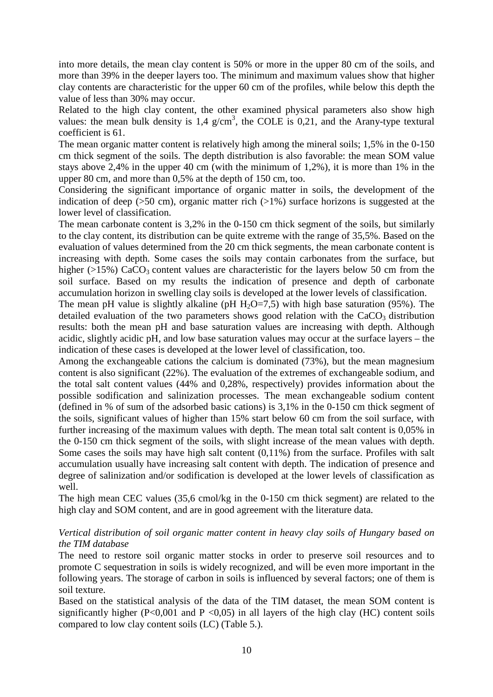into more details, the mean clay content is 50% or more in the upper 80 cm of the soils, and more than 39% in the deeper layers too. The minimum and maximum values show that higher clay contents are characteristic for the upper 60 cm of the profiles, while below this depth the value of less than 30% may occur.

Related to the high clay content, the other examined physical parameters also show high values: the mean bulk density is  $1.4 \text{ g/cm}^3$ , the COLE is 0,21, and the Arany-type textural coefficient is 61.

The mean organic matter content is relatively high among the mineral soils; 1,5% in the 0-150 cm thick segment of the soils. The depth distribution is also favorable: the mean SOM value stays above 2,4% in the upper 40 cm (with the minimum of 1,2%), it is more than 1% in the upper 80 cm, and more than 0,5% at the depth of 150 cm, too.

Considering the significant importance of organic matter in soils, the development of the indication of deep ( $>50$  cm), organic matter rich ( $>1\%$ ) surface horizons is suggested at the lower level of classification.

The mean carbonate content is 3,2% in the 0-150 cm thick segment of the soils, but similarly to the clay content, its distribution can be quite extreme with the range of 35,5%. Based on the evaluation of values determined from the 20 cm thick segments, the mean carbonate content is increasing with depth. Some cases the soils may contain carbonates from the surface, but higher  $(>15\%)$  CaCO<sub>3</sub> content values are characteristic for the layers below 50 cm from the soil surface. Based on my results the indication of presence and depth of carbonate accumulation horizon in swelling clay soils is developed at the lower levels of classification.

The mean pH value is slightly alkaline (pH  $H_2O=7,5$ ) with high base saturation (95%). The detailed evaluation of the two parameters shows good relation with the  $CaCO<sub>3</sub>$  distribution results: both the mean pH and base saturation values are increasing with depth. Although acidic, slightly acidic pH, and low base saturation values may occur at the surface layers – the indication of these cases is developed at the lower level of classification, too.

Among the exchangeable cations the calcium is dominated (73%), but the mean magnesium content is also significant (22%). The evaluation of the extremes of exchangeable sodium, and the total salt content values (44% and 0,28%, respectively) provides information about the possible sodification and salinization processes. The mean exchangeable sodium content (defined in % of sum of the adsorbed basic cations) is 3,1% in the 0-150 cm thick segment of the soils, significant values of higher than 15% start below 60 cm from the soil surface, with further increasing of the maximum values with depth. The mean total salt content is 0,05% in the 0-150 cm thick segment of the soils, with slight increase of the mean values with depth. Some cases the soils may have high salt content (0,11%) from the surface. Profiles with salt accumulation usually have increasing salt content with depth. The indication of presence and degree of salinization and/or sodification is developed at the lower levels of classification as well.

The high mean CEC values (35,6 cmol/kg in the 0-150 cm thick segment) are related to the high clay and SOM content, and are in good agreement with the literature data.

# *Vertical distribution of soil organic matter content in heavy clay soils of Hungary based on the TIM database*

The need to restore soil organic matter stocks in order to preserve soil resources and to promote C sequestration in soils is widely recognized, and will be even more important in the following years. The storage of carbon in soils is influenced by several factors; one of them is soil texture.

Based on the statistical analysis of the data of the TIM dataset, the mean SOM content is significantly higher ( $P<0.001$  and  $P<0.05$ ) in all layers of the high clay (HC) content soils compared to low clay content soils (LC) (Table 5.).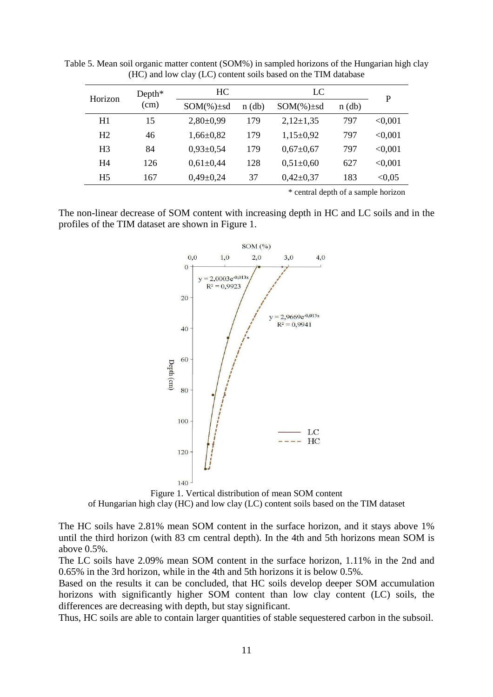| Horizon        | $Depth^*$ |                 | LC<br>HC. |                 |          | P       |
|----------------|-----------|-----------------|-----------|-----------------|----------|---------|
|                | (cm)      | $SOM(\%)\pm sd$ | $n$ (db)  | $SOM(\%)\pm sd$ | $n$ (db) |         |
| H1             | 15        | $2,80\pm0.99$   | 179       | $2,12\pm1,35$   | 797      | < 0.001 |
| H2             | 46        | $1,66 \pm 0,82$ | 179       | $1,15\pm0.92$   | 797      | < 0.001 |
| H <sub>3</sub> | 84        | $0,93\pm0,54$   | 179       | $0,67 \pm 0,67$ | 797      | < 0.001 |
| H <sub>4</sub> | 126       | $0.61 \pm 0.44$ | 128       | $0,51\pm0,60$   | 627      | < 0.001 |
| H <sub>5</sub> | 167       | $0,49\pm0,24$   | 37        | $0,42\pm0,37$   | 183      | < 0.05  |

Table 5. Mean soil organic matter content (SOM%) in sampled horizons of the Hungarian high clay (HC) and low clay (LC) content soils based on the TIM database

\* central depth of a sample horizon

The non-linear decrease of SOM content with increasing depth in HC and LC soils and in the profiles of the TIM dataset are shown in Figure 1.



Figure 1. Vertical distribution of mean SOM content of Hungarian high clay (HC) and low clay (LC) content soils based on the TIM dataset

The HC soils have 2.81% mean SOM content in the surface horizon, and it stays above 1% until the third horizon (with 83 cm central depth). In the 4th and 5th horizons mean SOM is above 0.5%.

The LC soils have 2.09% mean SOM content in the surface horizon, 1.11% in the 2nd and 0.65% in the 3rd horizon, while in the 4th and 5th horizons it is below 0.5%.

Based on the results it can be concluded, that HC soils develop deeper SOM accumulation horizons with significantly higher SOM content than low clay content (LC) soils, the differences are decreasing with depth, but stay significant.

Thus, HC soils are able to contain larger quantities of stable sequestered carbon in the subsoil.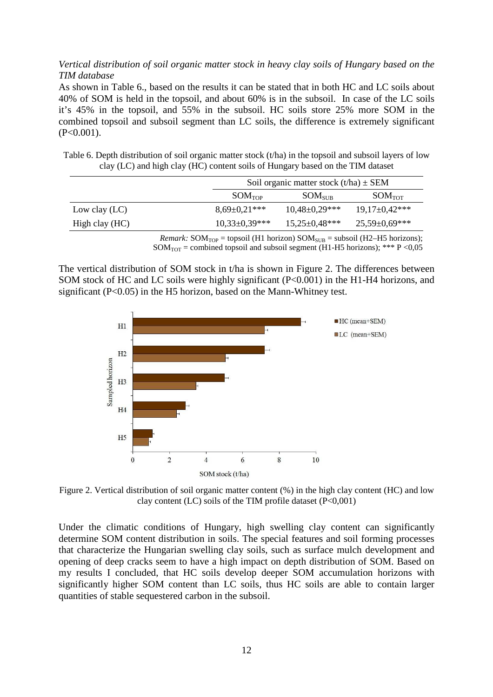# *Vertical distribution of soil organic matter stock in heavy clay soils of Hungary based on the TIM database*

As shown in Table 6., based on the results it can be stated that in both HC and LC soils about 40% of SOM is held in the topsoil, and about 60% is in the subsoil. In case of the LC soils it's 45% in the topsoil, and 55% in the subsoil. HC soils store 25% more SOM in the combined topsoil and subsoil segment than LC soils, the difference is extremely significant  $(P<0.001)$ .

Table 6. Depth distribution of soil organic matter stock (t/ha) in the topsoil and subsoil layers of low clay (LC) and high clay (HC) content soils of Hungary based on the TIM dataset

|                 | Soil organic matter stock $(t/ha) \pm SEM$ |                      |                      |  |  |
|-----------------|--------------------------------------------|----------------------|----------------------|--|--|
|                 | SOM <sub>TOP</sub>                         | SOM <sub>SUB</sub>   | SOM <sub>TOT</sub>   |  |  |
| Low clay $(LC)$ | $8,69\pm0,21***$                           | $10,48 \pm 0,29$ *** | $19.17 \pm 0.42$ *** |  |  |
| High clay (HC)  | $10,33\pm0,39***$                          | $15,25 \pm 0,48$ *** | $25,59\pm0.69$ ***   |  |  |

*Remark:*  $SOM<sub>TOP</sub> = topsoil (H1 horizon)$   $SOM<sub>SUB</sub> = subsoil (H2-H5 horizons);$  $SOM<sub>TOT</sub> = combined topsoil and subsoil segment (H1-H5 horizons); *** P <0.05$ 

The vertical distribution of SOM stock in t/ha is shown in Figure 2. The differences between SOM stock of HC and LC soils were highly significant (P<0.001) in the H1-H4 horizons, and significant (P<0.05) in the H5 horizon, based on the Mann-Whitney test.



Figure 2. Vertical distribution of soil organic matter content (%) in the high clay content (HC) and low clay content (LC) soils of the TIM profile dataset  $(P<0,001)$ 

Under the climatic conditions of Hungary, high swelling clay content can significantly determine SOM content distribution in soils. The special features and soil forming processes that characterize the Hungarian swelling clay soils, such as surface mulch development and opening of deep cracks seem to have a high impact on depth distribution of SOM. Based on my results I concluded, that HC soils develop deeper SOM accumulation horizons with significantly higher SOM content than LC soils, thus HC soils are able to contain larger quantities of stable sequestered carbon in the subsoil.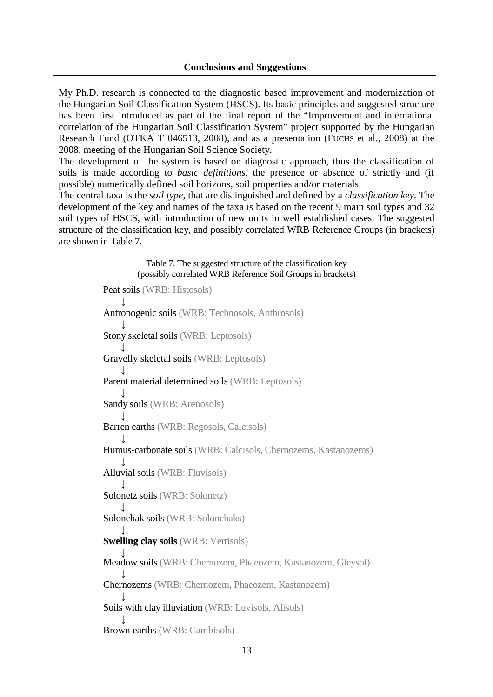#### **Conclusions and Suggestions**

My Ph.D. research is connected to the diagnostic based improvement and modernization of the Hungarian Soil Classification System (HSCS). Its basic principles and suggested structure has been first introduced as part of the final report of the "Improvement and international correlation of the Hungarian Soil Classification System" project supported by the Hungarian Research Fund (OTKA T 046513, 2008), and as a presentation (FUCHS et al., 2008) at the 2008. meeting of the Hungarian Soil Science Society.

The development of the system is based on diagnostic approach, thus the classification of soils is made according to *basic definitions*, the presence or absence of strictly and (if possible) numerically defined soil horizons, soil properties and/or materials.

The central taxa is the *soil type*, that are distinguished and defined by a *classification key*. The development of the key and names of the taxa is based on the recent 9 main soil types and 32 soil types of HSCS, with introduction of new units in well established cases. The suggested structure of the classification key, and possibly correlated WRB Reference Groups (in brackets) are shown in Table 7.

> Table 7. The suggested structure of the classification key (possibly correlated WRB Reference Soil Groups in brackets) Peat soils (WRB: Histosols) ↓ Antropogenic soils (WRB: Technosols, Anthrosols) ↓ Stony skeletal soils (WRB: Leptosols) ↓ Gravelly skeletal soils (WRB: Leptosols) ↓ Parent material determined soils (WRB: Leptosols) ↓ Sandy soils (WRB: Arenosols) ↓ Barren earths (WRB: Regosols, Calcisols) ↓ Humus-carbonate soils (WRB: Calcisols, Chernozems, Kastanozems) ↓ Alluvial soils (WRB: Fluvisols) ↓ Solonetz soils (WRB: Solonetz) ↓ Solonchak soils (WRB: Solonchaks) ↓ **Swelling clay soils** (WRB: Vertisols) ↓ Meadow soils (WRB: Chernozem, Phaeozem, Kastanozem, Gleysol) ↓ Chernozems (WRB: Chernozem, Phaeozem, Kastanozem) ↓ Soils with clay illuviation (WRB: Luvisols, Alisols) ↓ Brown earths (WRB: Cambisols)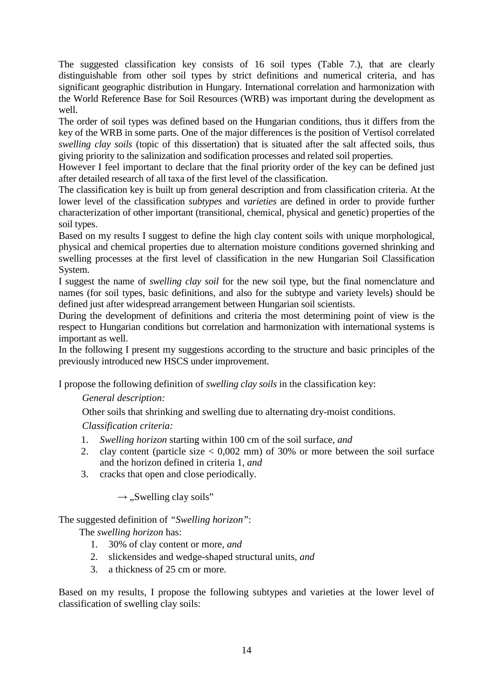The suggested classification key consists of 16 soil types (Table 7.), that are clearly distinguishable from other soil types by strict definitions and numerical criteria, and has significant geographic distribution in Hungary. International correlation and harmonization with the World Reference Base for Soil Resources (WRB) was important during the development as well.

The order of soil types was defined based on the Hungarian conditions, thus it differs from the key of the WRB in some parts. One of the major differences is the position of Vertisol correlated *swelling clay soils* (topic of this dissertation) that is situated after the salt affected soils, thus giving priority to the salinization and sodification processes and related soil properties.

However I feel important to declare that the final priority order of the key can be defined just after detailed research of all taxa of the first level of the classification.

The classification key is built up from general description and from classification criteria. At the lower level of the classification *subtypes* and *varieties* are defined in order to provide further characterization of other important (transitional, chemical, physical and genetic) properties of the soil types.

Based on my results I suggest to define the high clay content soils with unique morphological, physical and chemical properties due to alternation moisture conditions governed shrinking and swelling processes at the first level of classification in the new Hungarian Soil Classification System.

I suggest the name of *swelling clay soil* for the new soil type, but the final nomenclature and names (for soil types, basic definitions, and also for the subtype and variety levels) should be defined just after widespread arrangement between Hungarian soil scientists.

During the development of definitions and criteria the most determining point of view is the respect to Hungarian conditions but correlation and harmonization with international systems is important as well.

In the following I present my suggestions according to the structure and basic principles of the previously introduced new HSCS under improvement.

I propose the following definition of *swelling clay soils* in the classification key:

# *General description:*

Other soils that shrinking and swelling due to alternating dry-moist conditions.

*Classification criteria:* 

- 1. *Swelling horizon* starting within 100 cm of the soil surface, *and*
- 2. clay content (particle size < 0,002 mm) of 30% or more between the soil surface and the horizon defined in criteria 1, *and*
- 3. cracks that open and close periodically.

 $\rightarrow$  ....Swelling clay soils"

The suggested definition of *"Swelling horizon"*:

The *swelling horizon* has:

- 1. 30% of clay content or more, *and*
- 2. slickensides and wedge-shaped structural units, *and*
- 3. a thickness of 25 cm or more.

Based on my results, I propose the following subtypes and varieties at the lower level of classification of swelling clay soils: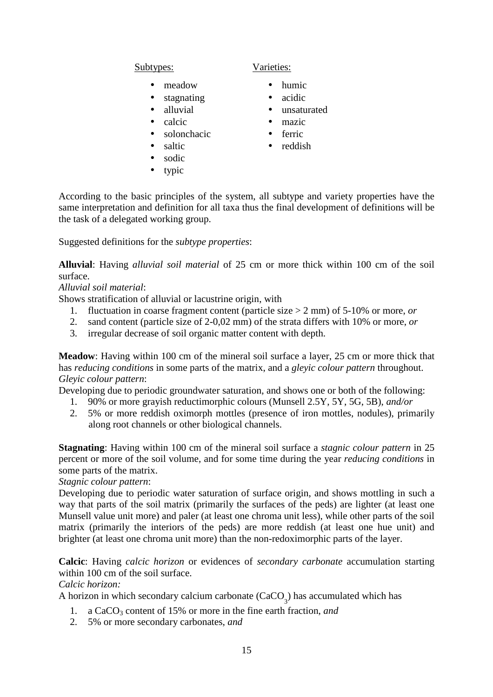Subtypes: Varieties:

- meadow
- stagnating
- alluvial
- calcic
- solonchacic
- saltic
- sodic
- typic

# • humic

- acidic
- unsaturated
- mazic
- ferric
- reddish

According to the basic principles of the system, all subtype and variety properties have the same interpretation and definition for all taxa thus the final development of definitions will be the task of a delegated working group.

Suggested definitions for the *subtype properties*:

**Alluvial**: Having *alluvial soil material* of 25 cm or more thick within 100 cm of the soil surface.

*Alluvial soil material*:

Shows stratification of alluvial or lacustrine origin, with

- 1. fluctuation in coarse fragment content (particle size > 2 mm) of 5-10% or more, *or*
- 2. sand content (particle size of 2-0,02 mm) of the strata differs with 10% or more, *or*
- 3. irregular decrease of soil organic matter content with depth.

**Meadow**: Having within 100 cm of the mineral soil surface a layer, 25 cm or more thick that has *reducing conditions* in some parts of the matrix, and a *gleyic colour pattern* throughout. *Gleyic colour pattern*:

Developing due to periodic groundwater saturation, and shows one or both of the following:

- 1. 90% or more grayish reductimorphic colours (Munsell 2.5Y, 5Y, 5G, 5B), *and/or*
- 2. 5% or more reddish oximorph mottles (presence of iron mottles, nodules), primarily along root channels or other biological channels.

**Stagnating**: Having within 100 cm of the mineral soil surface a *stagnic colour pattern* in 25 percent or more of the soil volume, and for some time during the year *reducing conditions* in some parts of the matrix.

*Stagnic colour pattern*:

Developing due to periodic water saturation of surface origin, and shows mottling in such a way that parts of the soil matrix (primarily the surfaces of the peds) are lighter (at least one Munsell value unit more) and paler (at least one chroma unit less), while other parts of the soil matrix (primarily the interiors of the peds) are more reddish (at least one hue unit) and brighter (at least one chroma unit more) than the non-redoximorphic parts of the layer.

**Calcic**: Having *calcic horizon* or evidences of *secondary carbonate* accumulation starting within 100 cm of the soil surface.

*Calcic horizon:* 

A horizon in which secondary calcium carbonate  $(CaCO<sub>3</sub>)$  has accumulated which has

- 1. a CaCO<sub>3</sub> content of 15% or more in the fine earth fraction, *and*
- 2. 5% or more secondary carbonates, *and*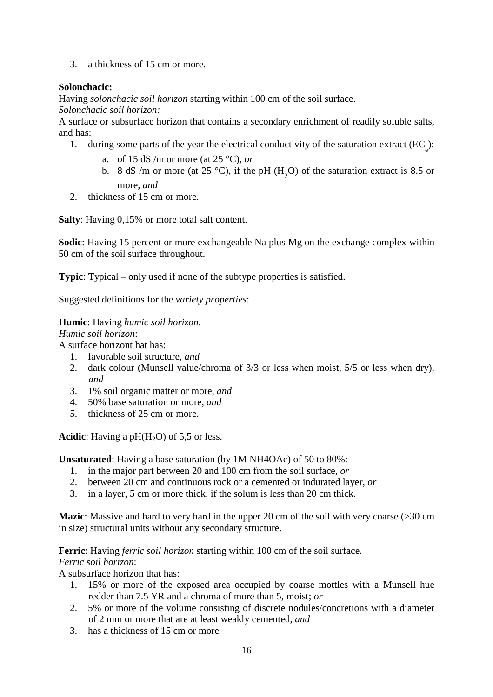3. a thickness of 15 cm or more.

# **Solonchacic:**

Having *solonchacic soil horizon* starting within 100 cm of the soil surface.

*Solonchacic soil horizon:*

A surface or subsurface horizon that contains a secondary enrichment of readily soluble salts, and has:

- 1. during some parts of the year the electrical conductivity of the saturation extract  $(EC_e)$ :
	- a. of 15 dS /m or more (at 25 °C), *or*
	- b. 8 dS /m or more (at 25 °C), if the pH  $(H_2O)$  of the saturation extract is 8.5 or more, *and*
- 2. thickness of 15 cm or more.

**Salty**: Having 0,15% or more total salt content.

**Sodic**: Having 15 percent or more exchangeable Na plus Mg on the exchange complex within 50 cm of the soil surface throughout.

**Typic**: Typical – only used if none of the subtype properties is satisfied.

Suggested definitions for the *variety properties*:

**Humic**: Having *humic soil horizon*.

*Humic soil horizon*:

A surface horizont hat has:

- 1. favorable soil structure, *and*
- 2. dark colour (Munsell value/chroma of 3/3 or less when moist, 5/5 or less when dry), *and*
- 3. 1% soil organic matter or more, *and*
- 4. 50% base saturation or more, *and*
- 5. thickness of 25 cm or more.

Acidic: Having a pH(H<sub>2</sub>O) of 5,5 or less.

**Unsaturated**: Having a base saturation (by 1M NH4OAc) of 50 to 80%:

- 1. in the major part between 20 and 100 cm from the soil surface, *or*
- 2. between 20 cm and continuous rock or a cemented or indurated layer, *or*
- 3. in a layer, 5 cm or more thick, if the solum is less than 20 cm thick.

**Mazic**: Massive and hard to very hard in the upper 20 cm of the soil with very coarse (>30 cm in size) structural units without any secondary structure.

**Ferric**: Having *ferric soil horizon* starting within 100 cm of the soil surface.

*Ferric soil horizon*:

A subsurface horizon that has:

- 1. 15% or more of the exposed area occupied by coarse mottles with a Munsell hue redder than 7.5 YR and a chroma of more than 5, moist; *or*
- 2. 5% or more of the volume consisting of discrete nodules/concretions with a diameter of 2 mm or more that are at least weakly cemented, *and*
- 3. has a thickness of 15 cm or more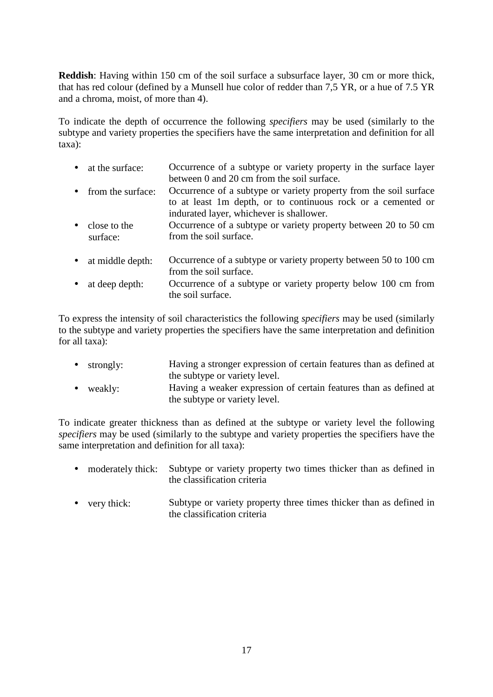**Reddish**: Having within 150 cm of the soil surface a subsurface layer, 30 cm or more thick, that has red colour (defined by a Munsell hue color of redder than 7,5 YR, or a hue of 7.5 YR and a chroma, moist, of more than 4).

To indicate the depth of occurrence the following *specifiers* may be used (similarly to the subtype and variety properties the specifiers have the same interpretation and definition for all taxa):

- at the surface: Occurrence of a subtype or variety property in the surface layer between 0 and 20 cm from the soil surface.
- from the surface: Occurrence of a subtype or variety property from the soil surface to at least 1m depth, or to continuous rock or a cemented or indurated layer, whichever is shallower.
- close to the surface: Occurrence of a subtype or variety property between 20 to 50 cm from the soil surface.
- at middle depth: Occurrence of a subtype or variety property between 50 to 100 cm from the soil surface.
- at deep depth: Occurrence of a subtype or variety property below 100 cm from the soil surface.

To express the intensity of soil characteristics the following *specifiers* may be used (similarly to the subtype and variety properties the specifiers have the same interpretation and definition for all taxa):

- strongly: Having a stronger expression of certain features than as defined at the subtype or variety level.
- weakly: Having a weaker expression of certain features than as defined at the subtype or variety level.

To indicate greater thickness than as defined at the subtype or variety level the following *specifiers* may be used (similarly to the subtype and variety properties the specifiers have the same interpretation and definition for all taxa):

- moderately thick: Subtype or variety property two times thicker than as defined in the classification criteria
- very thick: Subtype or variety property three times thicker than as defined in the classification criteria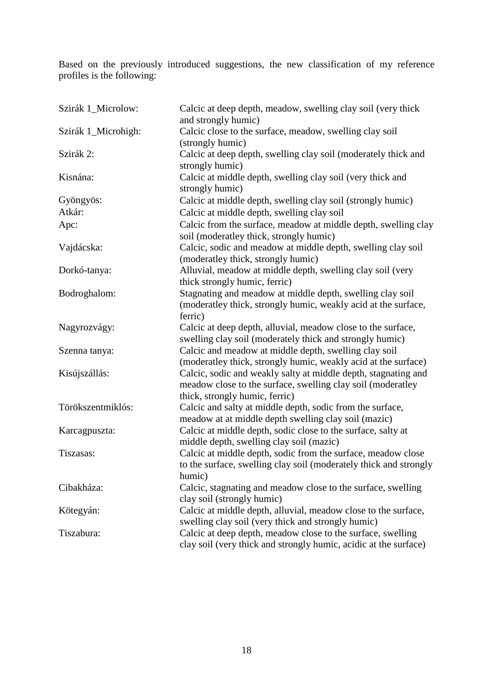Based on the previously introduced suggestions, the new classification of my reference profiles is the following:

| Szirák 1_Microlow:  | Calcic at deep depth, meadow, swelling clay soil (very thick<br>and strongly humic)                                                                             |
|---------------------|-----------------------------------------------------------------------------------------------------------------------------------------------------------------|
| Szirák 1_Microhigh: | Calcic close to the surface, meadow, swelling clay soil<br>(strongly humic)                                                                                     |
| Szirák 2:           | Calcic at deep depth, swelling clay soil (moderately thick and<br>strongly humic)                                                                               |
| Kisnána:            | Calcic at middle depth, swelling clay soil (very thick and<br>strongly humic)                                                                                   |
| Gyöngyös:           | Calcic at middle depth, swelling clay soil (strongly humic)                                                                                                     |
| Atkár:              | Calcic at middle depth, swelling clay soil                                                                                                                      |
| Apc:                | Calcic from the surface, meadow at middle depth, swelling clay<br>soil (moderatley thick, strongly humic)                                                       |
| Vajdácska:          | Calcic, sodic and meadow at middle depth, swelling clay soil<br>(moderatley thick, strongly humic)                                                              |
| Dorkó-tanya:        | Alluvial, meadow at middle depth, swelling clay soil (very<br>thick strongly humic, ferric)                                                                     |
| Bodroghalom:        | Stagnating and meadow at middle depth, swelling clay soil<br>(moderatley thick, strongly humic, weakly acid at the surface,<br>ferric)                          |
| Nagyrozvágy:        | Calcic at deep depth, alluvial, meadow close to the surface,<br>swelling clay soil (moderately thick and strongly humic)                                        |
| Szenna tanya:       | Calcic and meadow at middle depth, swelling clay soil<br>(moderatley thick, strongly humic, weakly acid at the surface)                                         |
| Kisújszállás:       | Calcic, sodic and weakly salty at middle depth, stagnating and<br>meadow close to the surface, swelling clay soil (moderatley<br>thick, strongly humic, ferric) |
| Törökszentmiklós:   | Calcic and salty at middle depth, sodic from the surface,<br>meadow at at middle depth swelling clay soil (mazic)                                               |
| Karcagpuszta:       | Calcic at middle depth, sodic close to the surface, salty at<br>middle depth, swelling clay soil (mazic)                                                        |
| Tiszasas:           | Calcic at middle depth, sodic from the surface, meadow close<br>to the surface, swelling clay soil (moderately thick and strongly<br>humic)                     |
| Cibakháza:          | Calcic, stagnating and meadow close to the surface, swelling<br>clay soil (strongly humic)                                                                      |
| Kötegyán:           | Calcic at middle depth, alluvial, meadow close to the surface,<br>swelling clay soil (very thick and strongly humic)                                            |
| Tiszabura:          | Calcic at deep depth, meadow close to the surface, swelling<br>clay soil (very thick and strongly humic, acidic at the surface)                                 |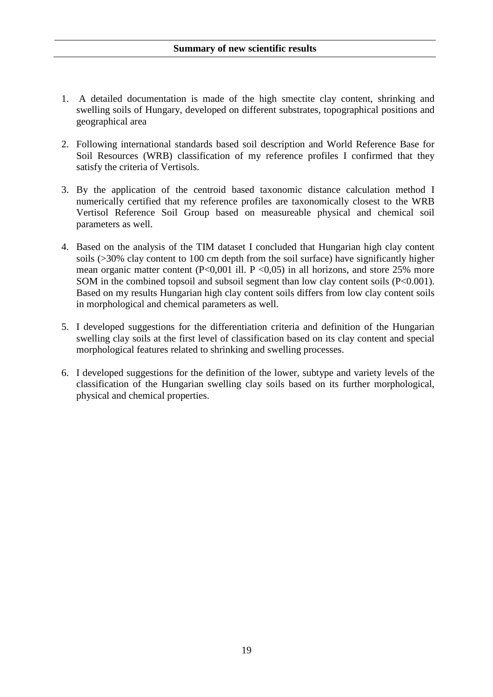- 1. A detailed documentation is made of the high smectite clay content, shrinking and swelling soils of Hungary, developed on different substrates, topographical positions and geographical area
- 2. Following international standards based soil description and World Reference Base for Soil Resources (WRB) classification of my reference profiles I confirmed that they satisfy the criteria of Vertisols.
- 3. By the application of the centroid based taxonomic distance calculation method I numerically certified that my reference profiles are taxonomically closest to the WRB Vertisol Reference Soil Group based on measureable physical and chemical soil parameters as well.
- 4. Based on the analysis of the TIM dataset I concluded that Hungarian high clay content soils (>30% clay content to 100 cm depth from the soil surface) have significantly higher mean organic matter content (P<0,001 ill. P <0,05) in all horizons, and store 25% more SOM in the combined topsoil and subsoil segment than low clay content soils (P<0.001). Based on my results Hungarian high clay content soils differs from low clay content soils in morphological and chemical parameters as well.
- 5. I developed suggestions for the differentiation criteria and definition of the Hungarian swelling clay soils at the first level of classification based on its clay content and special morphological features related to shrinking and swelling processes.
- 6. I developed suggestions for the definition of the lower, subtype and variety levels of the classification of the Hungarian swelling clay soils based on its further morphological, physical and chemical properties.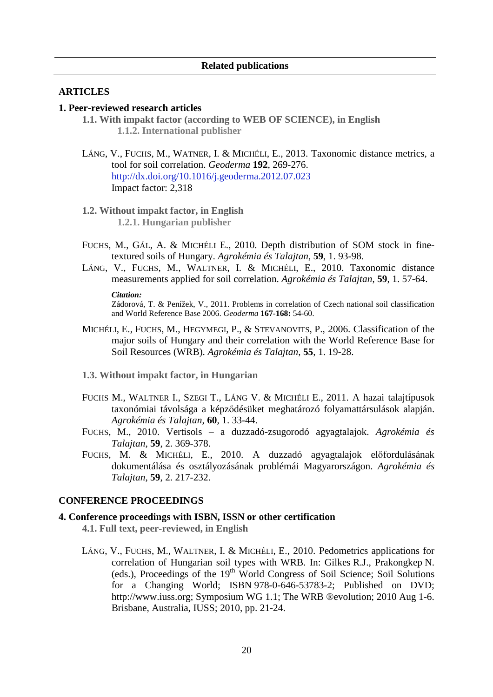## **ARTICLES**

## **1. Peer-reviewed research articles**

- **1.1. With impakt factor (according to WEB OF SCIENCE), in English 1.1.2. International publisher**
- LÁNG, V., FUCHS, M., WATNER, I. & MICHÉLI, E., 2013. Taxonomic distance metrics, a tool for soil correlation. *Geoderma* **192**, 269-276. http://dx.doi.org/10.1016/j.geoderma.2012.07.023 Impact factor: 2,318
- **1.2. Without impakt factor, in English 1.2.1. Hungarian publisher**
- FUCHS, M., GÁL, A. & MICHÉLI E., 2010. Depth distribution of SOM stock in finetextured soils of Hungary. *Agrokémia és Talajtan*, **59**, 1. 93-98.
- LÁNG, V., FUCHS, M., WALTNER, I. & MICHÉLI, E., 2010. Taxonomic distance measurements applied for soil correlation. *Agrokémia és Talajtan*, **59**, 1. 57-64.

#### *Citation:*

Zádorová, T. & Penížek, V., 2011. Problems in correlation of Czech national soil classification and World Reference Base 2006. *Geoderma* **167-168:** 54-60.

- MICHÉLI, E., FUCHS, M., HEGYMEGI, P., & STEVANOVITS, P., 2006. Classification of the major soils of Hungary and their correlation with the World Reference Base for Soil Resources (WRB). *Agrokémia és Talajtan*, **55**, 1. 19-28.
- **1.3. Without impakt factor, in Hungarian**
- FUCHS M., WALTNER I., SZEGI T., LÁNG V. & MICHÉLI E., 2011. A hazai talajtípusok taxonómiai távolsága a képződésüket meghatározó folyamattársulások alapján. *Agrokémia és Talajtan*, **60**, 1. 33-44.
- FUCHS, M., 2010. Vertisols a duzzadó-zsugorodó agyagtalajok. *Agrokémia és Talajtan*, **59**, 2. 369-378.
- FUCHS, M. & MICHÉLI, E., 2010. A duzzadó agyagtalajok előfordulásának dokumentálása és osztályozásának problémái Magyarországon. *Agrokémia és Talajtan*, **59**, 2. 217-232.

#### **CONFERENCE PROCEEDINGS**

# **4. Conference proceedings with ISBN, ISSN or other certification**

- **4.1. Full text, peer-reviewed, in English**
- LÁNG, V., FUCHS, M., WALTNER, I. & MICHÉLI, E., 2010. Pedometrics applications for correlation of Hungarian soil types with WRB. In: Gilkes R.J., Prakongkep N. (eds.), Proceedings of the  $19<sup>th</sup>$  World Congress of Soil Science; Soil Solutions for a Changing World; ISBN 978-0-646-53783-2; Published on DVD; http://www.iuss.org; Symposium WG 1.1; The WRB ®evolution; 2010 Aug 1-6. Brisbane, Australia, IUSS; 2010, pp. 21-24.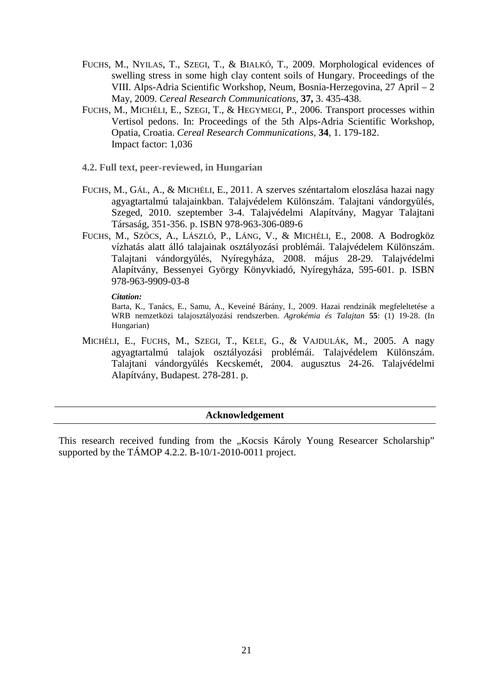- FUCHS, M., NYILAS, T., SZEGI, T., & BIALKÓ, T., 2009. Morphological evidences of swelling stress in some high clay content soils of Hungary. Proceedings of the VIII. Alps-Adria Scientific Workshop, Neum, Bosnia-Herzegovina, 27 April – 2 May, 2009. *Cereal Research Communications*, **37,** 3. 435-438.
- FUCHS, M., MICHÉLI, E., SZEGI, T., & HEGYMEGI, P., 2006. Transport processes within Vertisol pedons. In: Proceedings of the 5th Alps-Adria Scientific Workshop, Opatia, Croatia. *Cereal Research Communications,* **34**, 1. 179-182. Impact factor: 1,036
- **4.2. Full text, peer-reviewed, in Hungarian**
- FUCHS, M., GÁL, A., & MICHÉLI, E., 2011. A szerves széntartalom eloszlása hazai nagy agyagtartalmú talajainkban. Talajvédelem Különszám. Talajtani vándorgyűlés, Szeged, 2010. szeptember 3-4. Talajvédelmi Alapítvány, Magyar Talajtani Társaság, 351-356. p. ISBN 978-963-306-089-6
- FUCHS, M., SZŐCS, A., LÁSZLÓ, P., LÁNG, V., & MICHÉLI, E., 2008. A Bodrogköz vízhatás alatt álló talajainak osztályozási problémái. Talajvédelem Különszám. Talajtani vándorgyűlés, Nyíregyháza, 2008. május 28-29. Talajvédelmi Alapítvány, Bessenyei György Könyvkiadó, Nyíregyháza, 595-601. p. ISBN 978-963-9909-03-8

#### *Citation:*

Barta, K., Tanács, E., Samu, A., Keveiné Bárány, I., 2009. Hazai rendzinák megfeleltetése a WRB nemzetközi talajosztályozási rendszerben. *Agrokémia és Talajtan* **55**: (1) 19-28. (In Hungarian)

MICHÉLI, E., FUCHS, M., SZEGI, T., KELE, G., & VAJDULÁK, M., 2005. A nagy agyagtartalmú talajok osztályozási problémái. Talajvédelem Különszám. Talajtani vándorgyűlés Kecskemét, 2004. augusztus 24-26. Talajvédelmi Alapítvány, Budapest. 278-281. p.

#### **Acknowledgement**

This research received funding from the "Kocsis Károly Young Researcer Scholarship" supported by the TÁMOP 4.2.2. B-10/1-2010-0011 project.